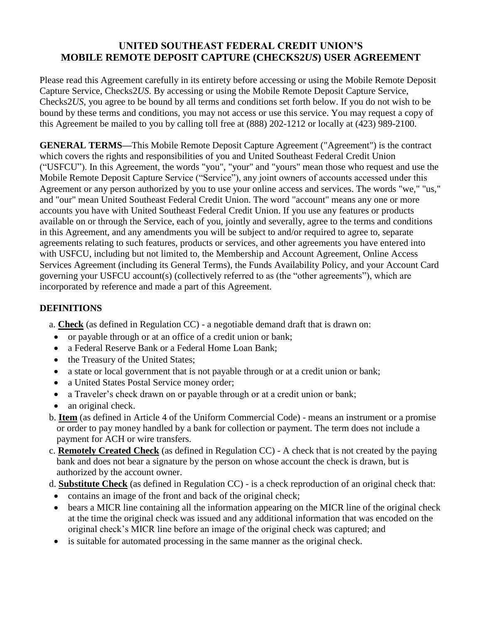## **UNITED SOUTHEAST FEDERAL CREDIT UNION'S MOBILE REMOTE DEPOSIT CAPTURE (CHECKS2***US***) USER AGREEMENT**

Please read this Agreement carefully in its entirety before accessing or using the Mobile Remote Deposit Capture Service, Checks2*US*. By accessing or using the Mobile Remote Deposit Capture Service, Checks2*US*, you agree to be bound by all terms and conditions set forth below. If you do not wish to be bound by these terms and conditions, you may not access or use this service. You may request a copy of this Agreement be mailed to you by calling toll free at (888) 202-1212 or locally at (423) 989-2100.

**GENERAL TERMS—**This Mobile Remote Deposit Capture Agreement ("Agreement") is the contract which covers the rights and responsibilities of you and United Southeast Federal Credit Union ("USFCU"). In this Agreement, the words "you", "your" and "yours" mean those who request and use the Mobile Remote Deposit Capture Service ("Service"), any joint owners of accounts accessed under this Agreement or any person authorized by you to use your online access and services. The words "we," "us," and "our" mean United Southeast Federal Credit Union. The word "account" means any one or more accounts you have with United Southeast Federal Credit Union. If you use any features or products available on or through the Service, each of you, jointly and severally, agree to the terms and conditions in this Agreement, and any amendments you will be subject to and/or required to agree to, separate agreements relating to such features, products or services, and other agreements you have entered into with USFCU, including but not limited to, the Membership and Account Agreement, Online Access Services Agreement (including its General Terms), the Funds Availability Policy, and your Account Card governing your USFCU account(s) (collectively referred to as (the "other agreements"), which are incorporated by reference and made a part of this Agreement.

## **DEFINITIONS**

a. **Check** (as defined in Regulation CC) - a negotiable demand draft that is drawn on:

- or payable through or at an office of a credit union or bank;
- a Federal Reserve Bank or a Federal Home Loan Bank:
- the Treasury of the United States;
- a state or local government that is not payable through or at a credit union or bank;
- a United States Postal Service money order;
- a Traveler's check drawn on or payable through or at a credit union or bank;
- an original check.
- b. **Item** (as defined in Article 4 of the Uniform Commercial Code) means an instrument or a promise or order to pay money handled by a bank for collection or payment. The term does not include a payment for ACH or wire transfers.
- c. **Remotely Created Check** (as defined in Regulation CC) A check that is not created by the paying bank and does not bear a signature by the person on whose account the check is drawn, but is authorized by the account owner.
- d. **Substitute Check** (as defined in Regulation CC) is a check reproduction of an original check that:
- contains an image of the front and back of the original check;
- bears a MICR line containing all the information appearing on the MICR line of the original check at the time the original check was issued and any additional information that was encoded on the original check's MICR line before an image of the original check was captured; and
- is suitable for automated processing in the same manner as the original check.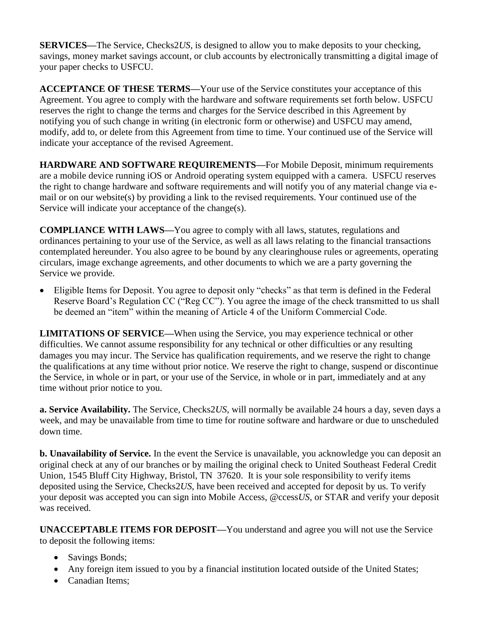**SERVICES—**The Service, Checks2*US*, is designed to allow you to make deposits to your checking, savings, money market savings account, or club accounts by electronically transmitting a digital image of your paper checks to USFCU.

**ACCEPTANCE OF THESE TERMS—**Your use of the Service constitutes your acceptance of this Agreement. You agree to comply with the hardware and software requirements set forth below. USFCU reserves the right to change the terms and charges for the Service described in this Agreement by notifying you of such change in writing (in electronic form or otherwise) and USFCU may amend, modify, add to, or delete from this Agreement from time to time. Your continued use of the Service will indicate your acceptance of the revised Agreement.

**HARDWARE AND SOFTWARE REQUIREMENTS—**For Mobile Deposit, minimum requirements are a mobile device running iOS or Android operating system equipped with a camera. USFCU reserves the right to change hardware and software requirements and will notify you of any material change via email or on our website(s) by providing a link to the revised requirements. Your continued use of the Service will indicate your acceptance of the change(s).

**COMPLIANCE WITH LAWS—**You agree to comply with all laws, statutes, regulations and ordinances pertaining to your use of the Service, as well as all laws relating to the financial transactions contemplated hereunder. You also agree to be bound by any clearinghouse rules or agreements, operating circulars, image exchange agreements, and other documents to which we are a party governing the Service we provide.

• Eligible Items for Deposit. You agree to deposit only "checks" as that term is defined in the Federal Reserve Board's Regulation CC ("Reg CC"). You agree the image of the check transmitted to us shall be deemed an "item" within the meaning of Article 4 of the Uniform Commercial Code.

**LIMITATIONS OF SERVICE—**When using the Service, you may experience technical or other difficulties. We cannot assume responsibility for any technical or other difficulties or any resulting damages you may incur. The Service has qualification requirements, and we reserve the right to change the qualifications at any time without prior notice. We reserve the right to change, suspend or discontinue the Service, in whole or in part, or your use of the Service, in whole or in part, immediately and at any time without prior notice to you.

**a. Service Availability.** The Service, Checks2*US*, will normally be available 24 hours a day, seven days a week, and may be unavailable from time to time for routine software and hardware or due to unscheduled down time.

**b. Unavailability of Service.** In the event the Service is unavailable, you acknowledge you can deposit an original check at any of our branches or by mailing the original check to United Southeast Federal Credit Union, 1545 Bluff City Highway, Bristol, TN 37620. It is your sole responsibility to verify items deposited using the Service, Checks2*US*, have been received and accepted for deposit by us. To verify your deposit was accepted you can sign into Mobile Access, *@*ccess*US*, or STAR and verify your deposit was received.

**UNACCEPTABLE ITEMS FOR DEPOSIT—**You understand and agree you will not use the Service to deposit the following items:

- Savings Bonds;
- Any foreign item issued to you by a financial institution located outside of the United States;
- Canadian Items;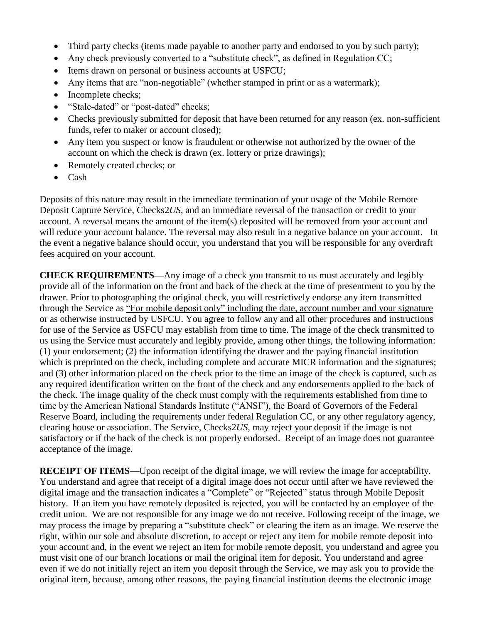- Third party checks (items made payable to another party and endorsed to you by such party);
- Any check previously converted to a "substitute check", as defined in Regulation CC;
- Items drawn on personal or business accounts at USFCU;
- Any items that are "non-negotiable" (whether stamped in print or as a watermark);
- Incomplete checks;
- "Stale-dated" or "post-dated" checks;
- Checks previously submitted for deposit that have been returned for any reason (ex. non-sufficient funds, refer to maker or account closed);
- Any item you suspect or know is fraudulent or otherwise not authorized by the owner of the account on which the check is drawn (ex. lottery or prize drawings);
- Remotely created checks; or
- Cash

Deposits of this nature may result in the immediate termination of your usage of the Mobile Remote Deposit Capture Service, Checks2*US*, and an immediate reversal of the transaction or credit to your account. A reversal means the amount of the item(s) deposited will be removed from your account and will reduce your account balance. The reversal may also result in a negative balance on your account. In the event a negative balance should occur, you understand that you will be responsible for any overdraft fees acquired on your account.

**CHECK REQUIREMENTS—**Any image of a check you transmit to us must accurately and legibly provide all of the information on the front and back of the check at the time of presentment to you by the drawer. Prior to photographing the original check, you will restrictively endorse any item transmitted through the Service as "For mobile deposit only" including the date, account number and your signature or as otherwise instructed by USFCU. You agree to follow any and all other procedures and instructions for use of the Service as USFCU may establish from time to time. The image of the check transmitted to us using the Service must accurately and legibly provide, among other things, the following information: (1) your endorsement; (2) the information identifying the drawer and the paying financial institution which is preprinted on the check, including complete and accurate MICR information and the signatures; and (3) other information placed on the check prior to the time an image of the check is captured, such as any required identification written on the front of the check and any endorsements applied to the back of the check. The image quality of the check must comply with the requirements established from time to time by the American National Standards Institute ("ANSI"), the Board of Governors of the Federal Reserve Board, including the requirements under federal Regulation CC, or any other regulatory agency, clearing house or association. The Service, Checks2*US*, may reject your deposit if the image is not satisfactory or if the back of the check is not properly endorsed. Receipt of an image does not guarantee acceptance of the image.

**RECEIPT OF ITEMS—Upon receipt of the digital image, we will review the image for acceptability.** You understand and agree that receipt of a digital image does not occur until after we have reviewed the digital image and the transaction indicates a "Complete" or "Rejected" status through Mobile Deposit history. If an item you have remotely deposited is rejected, you will be contacted by an employee of the credit union. We are not responsible for any image we do not receive. Following receipt of the image, we may process the image by preparing a "substitute check" or clearing the item as an image. We reserve the right, within our sole and absolute discretion, to accept or reject any item for mobile remote deposit into your account and, in the event we reject an item for mobile remote deposit, you understand and agree you must visit one of our branch locations or mail the original item for deposit. You understand and agree even if we do not initially reject an item you deposit through the Service, we may ask you to provide the original item, because, among other reasons, the paying financial institution deems the electronic image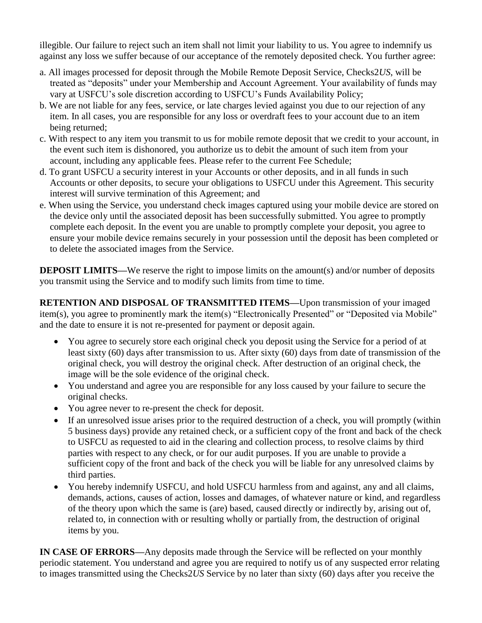illegible. Our failure to reject such an item shall not limit your liability to us. You agree to indemnify us against any loss we suffer because of our acceptance of the remotely deposited check. You further agree:

- a. All images processed for deposit through the Mobile Remote Deposit Service, Checks2*US*, will be treated as "deposits" under your Membership and Account Agreement. Your availability of funds may vary at USFCU's sole discretion according to USFCU's Funds Availability Policy;
- b. We are not liable for any fees, service, or late charges levied against you due to our rejection of any item. In all cases, you are responsible for any loss or overdraft fees to your account due to an item being returned;
- c. With respect to any item you transmit to us for mobile remote deposit that we credit to your account, in the event such item is dishonored, you authorize us to debit the amount of such item from your account, including any applicable fees. Please refer to the current Fee Schedule;
- d. To grant USFCU a security interest in your Accounts or other deposits, and in all funds in such Accounts or other deposits, to secure your obligations to USFCU under this Agreement. This security interest will survive termination of this Agreement; and
- e. When using the Service, you understand check images captured using your mobile device are stored on the device only until the associated deposit has been successfully submitted. You agree to promptly complete each deposit. In the event you are unable to promptly complete your deposit, you agree to ensure your mobile device remains securely in your possession until the deposit has been completed or to delete the associated images from the Service.

**DEPOSIT LIMITS—**We reserve the right to impose limits on the amount(s) and/or number of deposits you transmit using the Service and to modify such limits from time to time.

**RETENTION AND DISPOSAL OF TRANSMITTED ITEMS—**Upon transmission of your imaged item(s), you agree to prominently mark the item(s) "Electronically Presented" or "Deposited via Mobile" and the date to ensure it is not re-presented for payment or deposit again.

- You agree to securely store each original check you deposit using the Service for a period of at least sixty (60) days after transmission to us. After sixty (60) days from date of transmission of the original check, you will destroy the original check. After destruction of an original check, the image will be the sole evidence of the original check.
- You understand and agree you are responsible for any loss caused by your failure to secure the original checks.
- You agree never to re-present the check for deposit.
- If an unresolved issue arises prior to the required destruction of a check, you will promptly (within 5 business days) provide any retained check, or a sufficient copy of the front and back of the check to USFCU as requested to aid in the clearing and collection process, to resolve claims by third parties with respect to any check, or for our audit purposes. If you are unable to provide a sufficient copy of the front and back of the check you will be liable for any unresolved claims by third parties.
- You hereby indemnify USFCU, and hold USFCU harmless from and against, any and all claims, demands, actions, causes of action, losses and damages, of whatever nature or kind, and regardless of the theory upon which the same is (are) based, caused directly or indirectly by, arising out of, related to, in connection with or resulting wholly or partially from, the destruction of original items by you.

**IN CASE OF ERRORS—**Any deposits made through the Service will be reflected on your monthly periodic statement. You understand and agree you are required to notify us of any suspected error relating to images transmitted using the Checks2*US* Service by no later than sixty (60) days after you receive the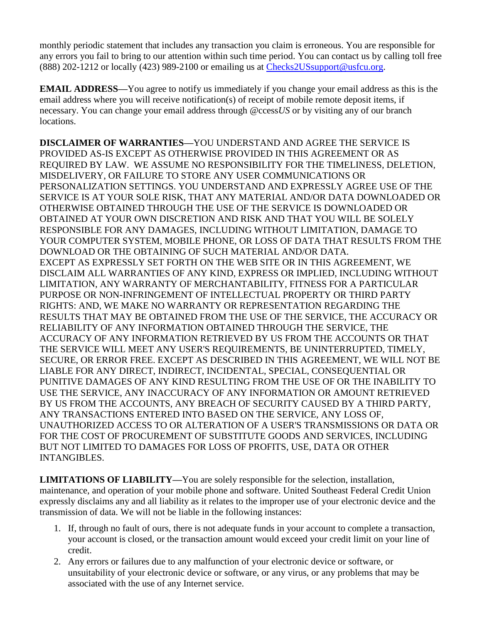monthly periodic statement that includes any transaction you claim is erroneous. You are responsible for any errors you fail to bring to our attention within such time period. You can contact us by calling toll free (888) 202-1212 or locally (423) 989-2100 or emailing us at [Checks2USsupport@usfcu.org.](mailto:Checks2USsupport@usfcu.org)

**EMAIL ADDRESS—**You agree to notify us immediately if you change your email address as this is the email address where you will receive notification(s) of receipt of mobile remote deposit items, if necessary. You can change your email address through *@*ccess*US* or by visiting any of our branch locations.

**DISCLAIMER OF WARRANTIES—**YOU UNDERSTAND AND AGREE THE SERVICE IS PROVIDED AS-IS EXCEPT AS OTHERWISE PROVIDED IN THIS AGREEMENT OR AS REQUIRED BY LAW. WE ASSUME NO RESPONSIBILITY FOR THE TIMELINESS, DELETION, MISDELIVERY, OR FAILURE TO STORE ANY USER COMMUNICATIONS OR PERSONALIZATION SETTINGS. YOU UNDERSTAND AND EXPRESSLY AGREE USE OF THE SERVICE IS AT YOUR SOLE RISK, THAT ANY MATERIAL AND/OR DATA DOWNLOADED OR OTHERWISE OBTAINED THROUGH THE USE OF THE SERVICE IS DOWNLOADED OR OBTAINED AT YOUR OWN DISCRETION AND RISK AND THAT YOU WILL BE SOLELY RESPONSIBLE FOR ANY DAMAGES, INCLUDING WITHOUT LIMITATION, DAMAGE TO YOUR COMPUTER SYSTEM, MOBILE PHONE, OR LOSS OF DATA THAT RESULTS FROM THE DOWNLOAD OR THE OBTAINING OF SUCH MATERIAL AND/OR DATA. EXCEPT AS EXPRESSLY SET FORTH ON THE WEB SITE OR IN THIS AGREEMENT, WE DISCLAIM ALL WARRANTIES OF ANY KIND, EXPRESS OR IMPLIED, INCLUDING WITHOUT LIMITATION, ANY WARRANTY OF MERCHANTABILITY, FITNESS FOR A PARTICULAR PURPOSE OR NON-INFRINGEMENT OF INTELLECTUAL PROPERTY OR THIRD PARTY RIGHTS: AND, WE MAKE NO WARRANTY OR REPRESENTATION REGARDING THE RESULTS THAT MAY BE OBTAINED FROM THE USE OF THE SERVICE, THE ACCURACY OR RELIABILITY OF ANY INFORMATION OBTAINED THROUGH THE SERVICE, THE ACCURACY OF ANY INFORMATION RETRIEVED BY US FROM THE ACCOUNTS OR THAT THE SERVICE WILL MEET ANY USER'S REQUIREMENTS, BE UNINTERRUPTED, TIMELY, SECURE, OR ERROR FREE. EXCEPT AS DESCRIBED IN THIS AGREEMENT, WE WILL NOT BE LIABLE FOR ANY DIRECT, INDIRECT, INCIDENTAL, SPECIAL, CONSEQUENTIAL OR PUNITIVE DAMAGES OF ANY KIND RESULTING FROM THE USE OF OR THE INABILITY TO USE THE SERVICE, ANY INACCURACY OF ANY INFORMATION OR AMOUNT RETRIEVED BY US FROM THE ACCOUNTS, ANY BREACH OF SECURITY CAUSED BY A THIRD PARTY, ANY TRANSACTIONS ENTERED INTO BASED ON THE SERVICE, ANY LOSS OF, UNAUTHORIZED ACCESS TO OR ALTERATION OF A USER'S TRANSMISSIONS OR DATA OR FOR THE COST OF PROCUREMENT OF SUBSTITUTE GOODS AND SERVICES, INCLUDING BUT NOT LIMITED TO DAMAGES FOR LOSS OF PROFITS, USE, DATA OR OTHER INTANGIBLES.

**LIMITATIONS OF LIABILITY—**You are solely responsible for the selection, installation, maintenance, and operation of your mobile phone and software. United Southeast Federal Credit Union expressly disclaims any and all liability as it relates to the improper use of your electronic device and the transmission of data. We will not be liable in the following instances:

- 1. If, through no fault of ours, there is not adequate funds in your account to complete a transaction, your account is closed, or the transaction amount would exceed your credit limit on your line of credit.
- 2. Any errors or failures due to any malfunction of your electronic device or software, or unsuitability of your electronic device or software, or any virus, or any problems that may be associated with the use of any Internet service.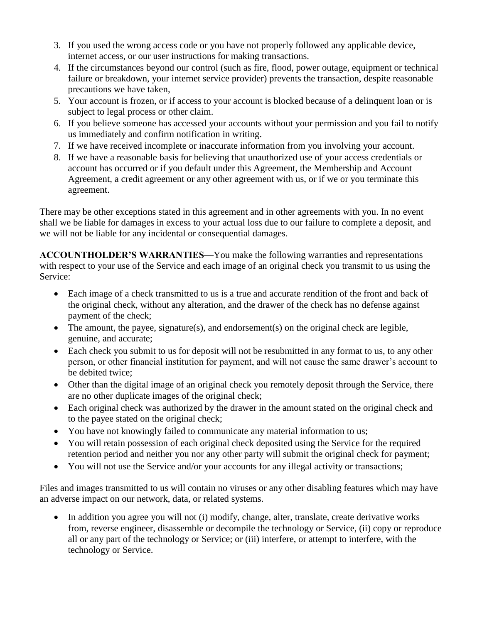- 3. If you used the wrong access code or you have not properly followed any applicable device, internet access, or our user instructions for making transactions.
- 4. If the circumstances beyond our control (such as fire, flood, power outage, equipment or technical failure or breakdown, your internet service provider) prevents the transaction, despite reasonable precautions we have taken,
- 5. Your account is frozen, or if access to your account is blocked because of a delinquent loan or is subject to legal process or other claim.
- 6. If you believe someone has accessed your accounts without your permission and you fail to notify us immediately and confirm notification in writing.
- 7. If we have received incomplete or inaccurate information from you involving your account.
- 8. If we have a reasonable basis for believing that unauthorized use of your access credentials or account has occurred or if you default under this Agreement, the Membership and Account Agreement, a credit agreement or any other agreement with us, or if we or you terminate this agreement.

There may be other exceptions stated in this agreement and in other agreements with you. In no event shall we be liable for damages in excess to your actual loss due to our failure to complete a deposit, and we will not be liable for any incidental or consequential damages.

**ACCOUNTHOLDER'S WARRANTIES—**You make the following warranties and representations with respect to your use of the Service and each image of an original check you transmit to us using the Service:

- Each image of a check transmitted to us is a true and accurate rendition of the front and back of the original check, without any alteration, and the drawer of the check has no defense against payment of the check;
- The amount, the payee, signature(s), and endorsement(s) on the original check are legible, genuine, and accurate;
- Each check you submit to us for deposit will not be resubmitted in any format to us, to any other person, or other financial institution for payment, and will not cause the same drawer's account to be debited twice;
- Other than the digital image of an original check you remotely deposit through the Service, there are no other duplicate images of the original check;
- Each original check was authorized by the drawer in the amount stated on the original check and to the payee stated on the original check;
- You have not knowingly failed to communicate any material information to us;
- You will retain possession of each original check deposited using the Service for the required retention period and neither you nor any other party will submit the original check for payment;
- You will not use the Service and/or your accounts for any illegal activity or transactions;

Files and images transmitted to us will contain no viruses or any other disabling features which may have an adverse impact on our network, data, or related systems.

• In addition you agree you will not (i) modify, change, alter, translate, create derivative works from, reverse engineer, disassemble or decompile the technology or Service, (ii) copy or reproduce all or any part of the technology or Service; or (iii) interfere, or attempt to interfere, with the technology or Service.